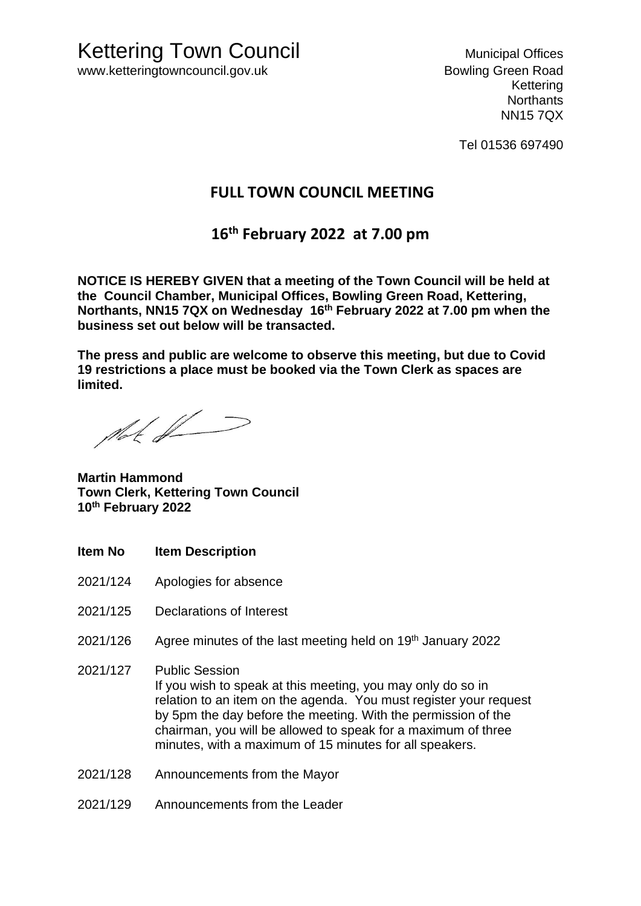Kettering **Northants** NN15 7QX

Tel 01536 697490

## **FULL TOWN COUNCIL MEETING**

# **16th February 2022 at 7.00 pm**

**NOTICE IS HEREBY GIVEN that a meeting of the Town Council will be held at the Council Chamber, Municipal Offices, Bowling Green Road, Kettering, Northants, NN15 7QX on Wednesday 16th February 2022 at 7.00 pm when the business set out below will be transacted.** 

**The press and public are welcome to observe this meeting, but due to Covid 19 restrictions a place must be booked via the Town Clerk as spaces are limited.**

that  $\#$ 

**Martin Hammond Town Clerk, Kettering Town Council 10th February 2022**

- **Item No Item Description**
- 2021/124 Apologies for absence
- 2021/125 Declarations of Interest
- 2021/126 Agree minutes of the last meeting held on 19<sup>th</sup> January 2022
- 2021/127 Public Session If you wish to speak at this meeting, you may only do so in relation to an item on the agenda. You must register your request by 5pm the day before the meeting. With the permission of the chairman, you will be allowed to speak for a maximum of three minutes, with a maximum of 15 minutes for all speakers.
- 2021/128 Announcements from the Mayor
- 2021/129 Announcements from the Leader